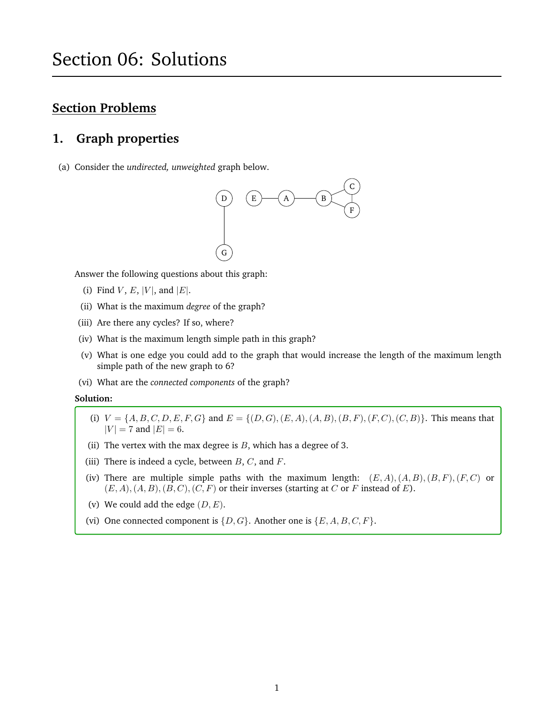## **Section Problems**

## **1. Graph properties**

(a) Consider the *undirected, unweighted* graph below.



Answer the following questions about this graph:

- (i) Find  $V, E, |V|$ , and  $|E|$ .
- (ii) What is the maximum *degree* of the graph?
- (iii) Are there any cycles? If so, where?
- (iv) What is the maximum length simple path in this graph?
- (v) What is one edge you could add to the graph that would increase the length of the maximum length simple path of the new graph to 6?
- (vi) What are the *connected components* of the graph?

#### **Solution:**

- (i)  $V = \{A, B, C, D, E, F, G\}$  and  $E = \{(D, G), (E, A), (A, B), (B, F), (F, C), (C, B)\}.$  This means that  $|V| = 7$  and  $|E| = 6$ .
- (ii) The vertex with the max degree is  $B$ , which has a degree of 3.
- (iii) There is indeed a cycle, between  $B, C$ , and  $F$ .
- (iv) There are multiple simple paths with the maximum length:  $(E, A), (A, B), (B, F), (F, C)$  or  $(E, A), (A, B), (B, C), (C, F)$  or their inverses (starting at C or F instead of E).
- (v) We could add the edge  $(D, E)$ .
- (vi) One connected component is  $\{D, G\}$ . Another one is  $\{E, A, B, C, F\}$ .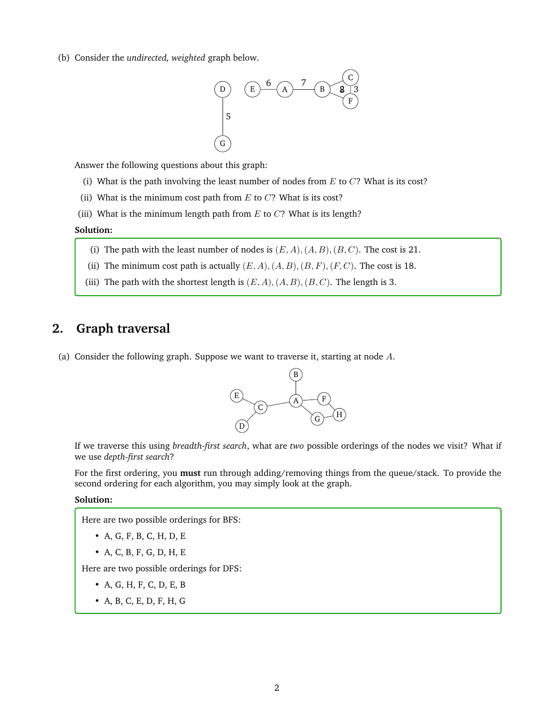(b) Consider the *undirected, weighted* graph below.



Answer the following questions about this graph:

- (i) What is the path involving the least number of nodes from  $E$  to  $C$ ? What is its cost?
- (ii) What is the minimum cost path from  $E$  to  $C$ ? What is its cost?
- (iii) What is the minimum length path from  $E$  to  $C$ ? What is its length?

#### **Solution:**

- (i) The path with the least number of nodes is  $(E, A), (A, B), (B, C)$ . The cost is 21.
- (ii) The minimum cost path is actually  $(E, A), (A, B), (B, F), (F, C)$ . The cost is 18.
- (iii) The path with the shortest length is  $(E, A), (A, B), (B, C)$ . The length is 3.

### **2. Graph traversal**

(a) Consider the following graph. Suppose we want to traverse it, starting at node  $A$ .



If we traverse this using *breadth-first search*, what are *two* possible orderings of the nodes we visit? What if we use *depth-first search*?

For the first ordering, you **must** run through adding/removing things from the queue/stack. To provide the second ordering for each algorithm, you may simply look at the graph.

#### **Solution:**

Here are two possible orderings for BFS:

- A, G, F, B, C, H, D, E
- A, C, B, F, G, D, H, E

Here are two possible orderings for DFS:

- A, G, H, F, C, D, E, B
- A, B, C, E, D, F, H, G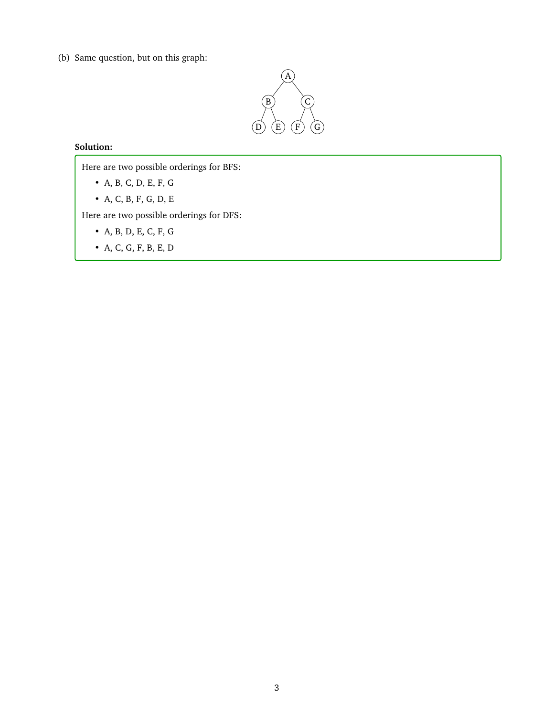(b) Same question, but on this graph:



### **Solution:**

Here are two possible orderings for BFS:

- A, B, C, D, E, F, G
- A, C, B, F, G, D, E

Here are two possible orderings for DFS:

- A, B, D, E, C, F, G
- A, C, G, F, B, E, D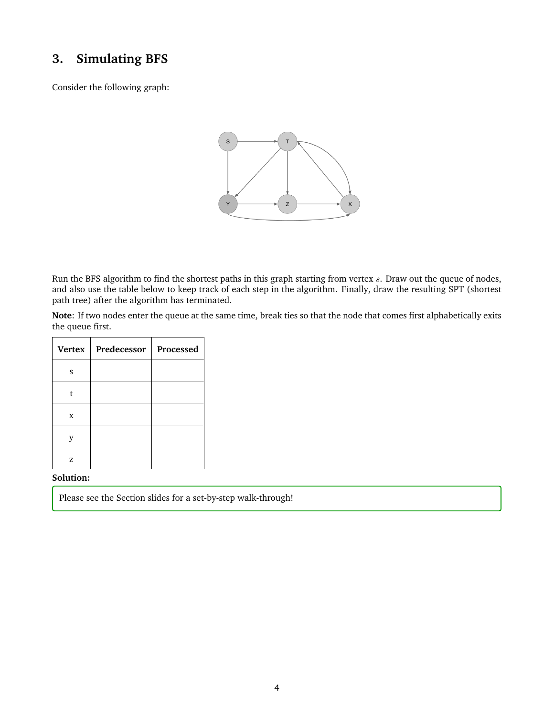## **3. Simulating BFS**

Consider the following graph:



Run the BFS algorithm to find the shortest paths in this graph starting from vertex s. Draw out the queue of nodes, and also use the table below to keep track of each step in the algorithm. Finally, draw the resulting SPT (shortest path tree) after the algorithm has terminated.

**Note**: If two nodes enter the queue at the same time, break ties so that the node that comes first alphabetically exits the queue first.

| Vertex | Predecessor | Processed |
|--------|-------------|-----------|
| S      |             |           |
| t      |             |           |
| X      |             |           |
|        |             |           |
| z      |             |           |

**Solution:**

Please see the Section slides for a set-by-step walk-through!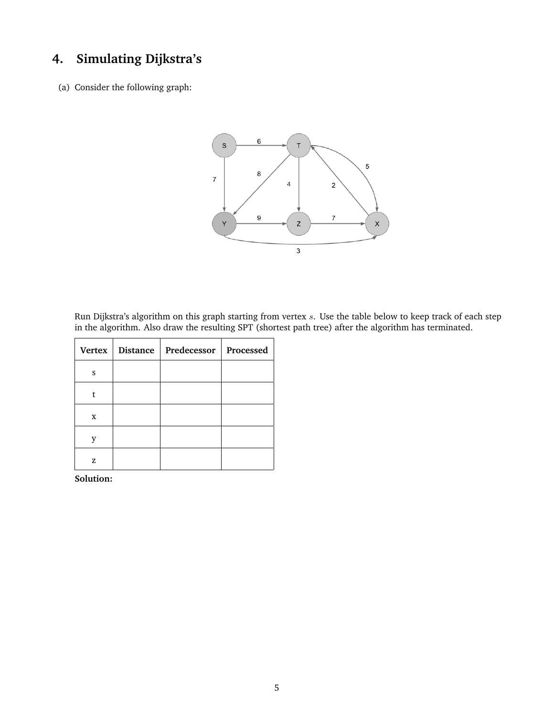# **4. Simulating Dijkstra's**

(a) Consider the following graph:



Run Dijkstra's algorithm on this graph starting from vertex s. Use the table below to keep track of each step in the algorithm. Also draw the resulting SPT (shortest path tree) after the algorithm has terminated.

|   | Vertex   Distance   Predecessor   Processed |  |
|---|---------------------------------------------|--|
| S |                                             |  |
| t |                                             |  |
| X |                                             |  |
|   |                                             |  |
| z |                                             |  |

**Solution:**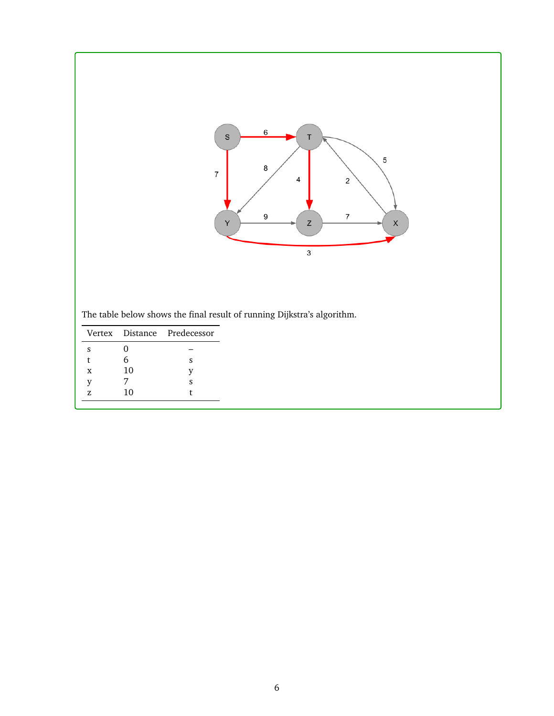

The table below shows the final result of running Dijkstra's algorithm.

|   |    | Vertex Distance Predecessor |
|---|----|-----------------------------|
| s |    |                             |
| t | 6  | s                           |
| X | 10 | v                           |
| V |    | s                           |
| z | 10 |                             |
|   |    |                             |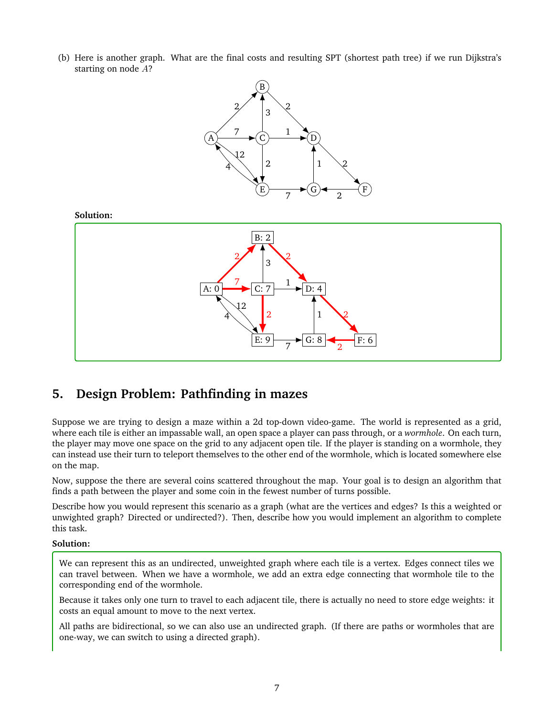(b) Here is another graph. What are the final costs and resulting SPT (shortest path tree) if we run Dijkstra's starting on node A?



## **5. Design Problem: Pathfinding in mazes**

Suppose we are trying to design a maze within a 2d top-down video-game. The world is represented as a grid, where each tile is either an impassable wall, an open space a player can pass through, or a *wormhole*. On each turn, the player may move one space on the grid to any adjacent open tile. If the player is standing on a wormhole, they can instead use their turn to teleport themselves to the other end of the wormhole, which is located somewhere else on the map.

Now, suppose the there are several coins scattered throughout the map. Your goal is to design an algorithm that finds a path between the player and some coin in the fewest number of turns possible.

Describe how you would represent this scenario as a graph (what are the vertices and edges? Is this a weighted or unwighted graph? Directed or undirected?). Then, describe how you would implement an algorithm to complete this task.

### **Solution:**

We can represent this as an undirected, unweighted graph where each tile is a vertex. Edges connect tiles we can travel between. When we have a wormhole, we add an extra edge connecting that wormhole tile to the corresponding end of the wormhole.

Because it takes only one turn to travel to each adjacent tile, there is actually no need to store edge weights: it costs an equal amount to move to the next vertex.

All paths are bidirectional, so we can also use an undirected graph. (If there are paths or wormholes that are one-way, we can switch to using a directed graph).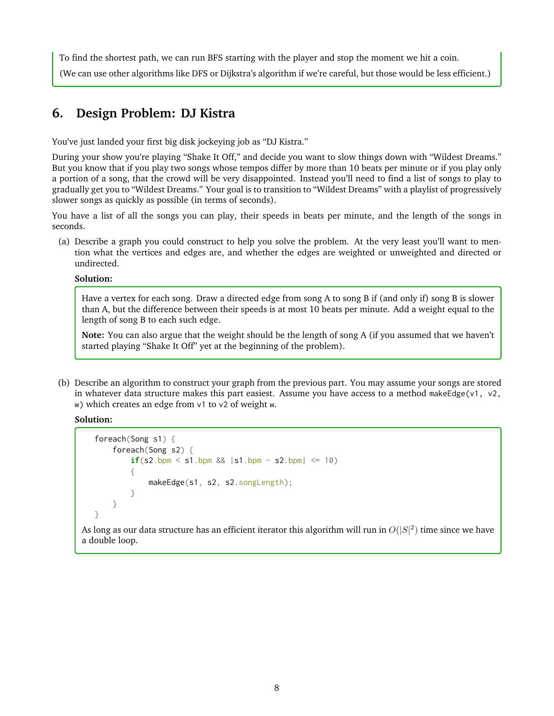To find the shortest path, we can run BFS starting with the player and stop the moment we hit a coin. (We can use other algorithms like DFS or Dijkstra's algorithm if we're careful, but those would be less efficient.)

## **6. Design Problem: DJ Kistra**

You've just landed your first big disk jockeying job as "DJ Kistra."

During your show you're playing "Shake It Off," and decide you want to slow things down with "Wildest Dreams." But you know that if you play two songs whose tempos differ by more than 10 beats per minute or if you play only a portion of a song, that the crowd will be very disappointed. Instead you'll need to find a list of songs to play to gradually get you to "Wildest Dreams." Your goal is to transition to "Wildest Dreams" with a playlist of progressively slower songs as quickly as possible (in terms of seconds).

You have a list of all the songs you can play, their speeds in beats per minute, and the length of the songs in seconds.

(a) Describe a graph you could construct to help you solve the problem. At the very least you'll want to mention what the vertices and edges are, and whether the edges are weighted or unweighted and directed or undirected.

### **Solution:**

Have a vertex for each song. Draw a directed edge from song A to song B if (and only if) song B is slower than A, but the difference between their speeds is at most 10 beats per minute. Add a weight equal to the length of song B to each such edge.

**Note:** You can also argue that the weight should be the length of song A (if you assumed that we haven't started playing "Shake It Off" yet at the beginning of the problem).

(b) Describe an algorithm to construct your graph from the previous part. You may assume your songs are stored in whatever data structure makes this part easiest. Assume you have access to a method makeEdge(v1, v2, w) which creates an edge from v1 to v2 of weight w.

**Solution:**

```
foreach(Song s1) {
    foreach(Song s2) {
        if(s2.bpm \leq s1.bpm \& \leq s1.bpm - s2.bpm\leq s1.{
            makeEdge(s1, s2, s2.songLength);
        }
    }
}
```
As long as our data structure has an efficient iterator this algorithm will run in  $O(|S|^2)$  time since we have a double loop.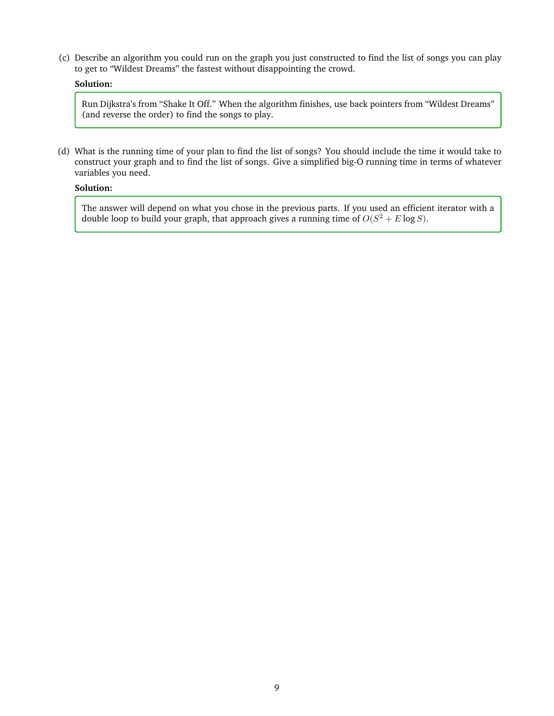(c) Describe an algorithm you could run on the graph you just constructed to find the list of songs you can play to get to "Wildest Dreams" the fastest without disappointing the crowd.

### **Solution:**

Run Dijkstra's from "Shake It Off." When the algorithm finishes, use back pointers from "Wildest Dreams" (and reverse the order) to find the songs to play.

(d) What is the running time of your plan to find the list of songs? You should include the time it would take to construct your graph and to find the list of songs. Give a simplified big-O running time in terms of whatever variables you need.

### **Solution:**

The answer will depend on what you chose in the previous parts. If you used an efficient iterator with a double loop to build your graph, that approach gives a running time of  $O(S^2 + E \log S)$ .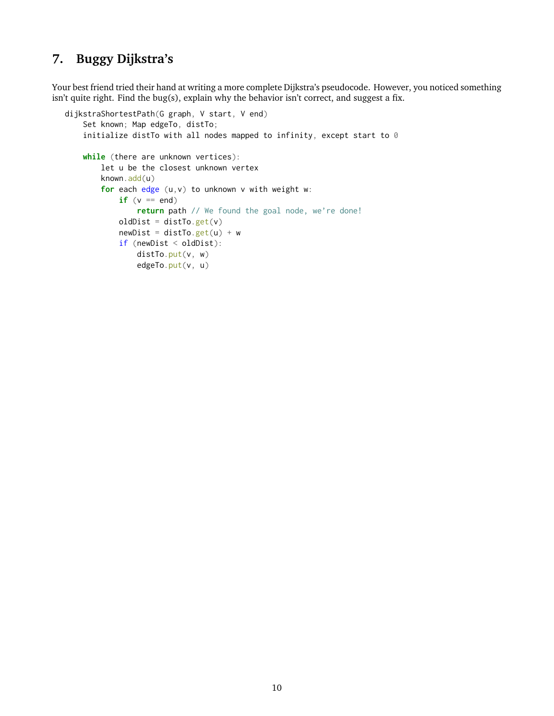## **7. Buggy Dijkstra's**

Your best friend tried their hand at writing a more complete Dijkstra's pseudocode. However, you noticed something isn't quite right. Find the bug(s), explain why the behavior isn't correct, and suggest a fix.

```
dijkstraShortestPath(G graph, V start, V end)
    Set known; Map edgeTo, distTo;
    initialize distTo with all nodes mapped to infinity, except start to 0
    while (there are unknown vertices):
        let u be the closest unknown vertex
        known.add(u)
        for each edge (u,v) to unknown v with weight w:
            if (v == end)return path // We found the goal node, we're done!
            oldDist = distTo.get(v)
            newDist = distTo.get(u) + wif (newDist < oldDist):
                distTo.put(v, w)
                edgeTo.put(v, u)
```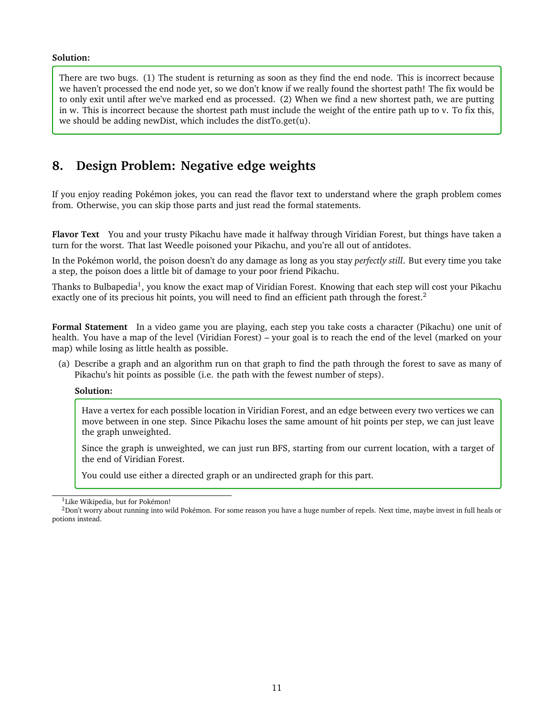### **Solution:**

There are two bugs. (1) The student is returning as soon as they find the end node. This is incorrect because we haven't processed the end node yet, so we don't know if we really found the shortest path! The fix would be to only exit until after we've marked end as processed. (2) When we find a new shortest path, we are putting in w. This is incorrect because the shortest path must include the weight of the entire path up to v. To fix this, we should be adding newDist, which includes the distTo.get(u).

## **8. Design Problem: Negative edge weights**

If you enjoy reading Pokémon jokes, you can read the flavor text to understand where the graph problem comes from. Otherwise, you can skip those parts and just read the formal statements.

**Flavor Text** You and your trusty Pikachu have made it halfway through Viridian Forest, but things have taken a turn for the worst. That last Weedle poisoned your Pikachu, and you're all out of antidotes.

In the Pokémon world, the poison doesn't do any damage as long as you stay *perfectly still*. But every time you take a step, the poison does a little bit of damage to your poor friend Pikachu.

Thanks to Bulbapedia<sup>[1](#page-10-0)</sup>, you know the exact map of Viridian Forest. Knowing that each step will cost your Pikachu exactly one of its precious hit points, you will need to find an efficient path through the forest.<sup>[2](#page-10-1)</sup>

**Formal Statement** In a video game you are playing, each step you take costs a character (Pikachu) one unit of health. You have a map of the level (Viridian Forest) – your goal is to reach the end of the level (marked on your map) while losing as little health as possible.

(a) Describe a graph and an algorithm run on that graph to find the path through the forest to save as many of Pikachu's hit points as possible (i.e. the path with the fewest number of steps).

#### **Solution:**

Have a vertex for each possible location in Viridian Forest, and an edge between every two vertices we can move between in one step. Since Pikachu loses the same amount of hit points per step, we can just leave the graph unweighted.

Since the graph is unweighted, we can just run BFS, starting from our current location, with a target of the end of Viridian Forest.

You could use either a directed graph or an undirected graph for this part.

<span id="page-10-1"></span><span id="page-10-0"></span><sup>&</sup>lt;sup>1</sup>Like Wikipedia, but for Pokémon!

<sup>&</sup>lt;sup>2</sup>Don't worry about running into wild Pokémon. For some reason you have a huge number of repels. Next time, maybe invest in full heals or potions instead.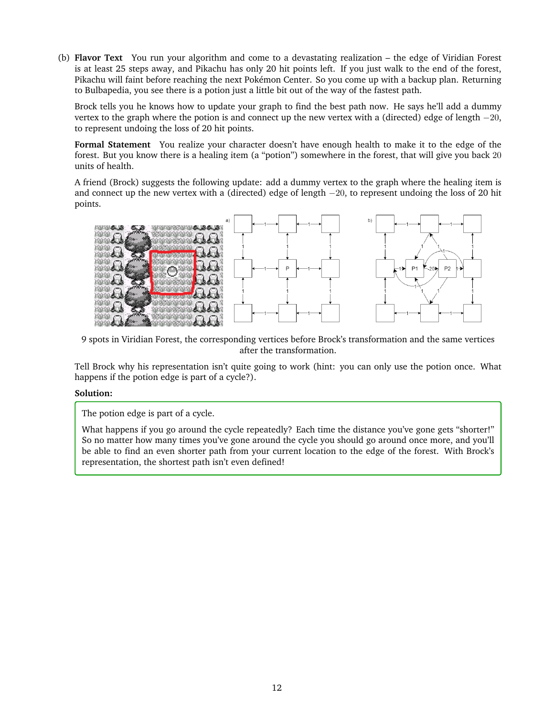(b) **Flavor Text** You run your algorithm and come to a devastating realization – the edge of Viridian Forest is at least 25 steps away, and Pikachu has only 20 hit points left. If you just walk to the end of the forest, Pikachu will faint before reaching the next Pokémon Center. So you come up with a backup plan. Returning to Bulbapedia, you see there is a potion just a little bit out of the way of the fastest path.

Brock tells you he knows how to update your graph to find the best path now. He says he'll add a dummy vertex to the graph where the potion is and connect up the new vertex with a (directed) edge of length  $-20$ , to represent undoing the loss of 20 hit points.

**Formal Statement** You realize your character doesn't have enough health to make it to the edge of the forest. But you know there is a healing item (a "potion") somewhere in the forest, that will give you back 20 units of health.

A friend (Brock) suggests the following update: add a dummy vertex to the graph where the healing item is and connect up the new vertex with a (directed) edge of length −20, to represent undoing the loss of 20 hit points.



9 spots in Viridian Forest, the corresponding vertices before Brock's transformation and the same vertices after the transformation.

Tell Brock why his representation isn't quite going to work (hint: you can only use the potion once. What happens if the potion edge is part of a cycle?).

### **Solution:**

The potion edge is part of a cycle.

What happens if you go around the cycle repeatedly? Each time the distance you've gone gets "shorter!" So no matter how many times you've gone around the cycle you should go around once more, and you'll be able to find an even shorter path from your current location to the edge of the forest. With Brock's representation, the shortest path isn't even defined!